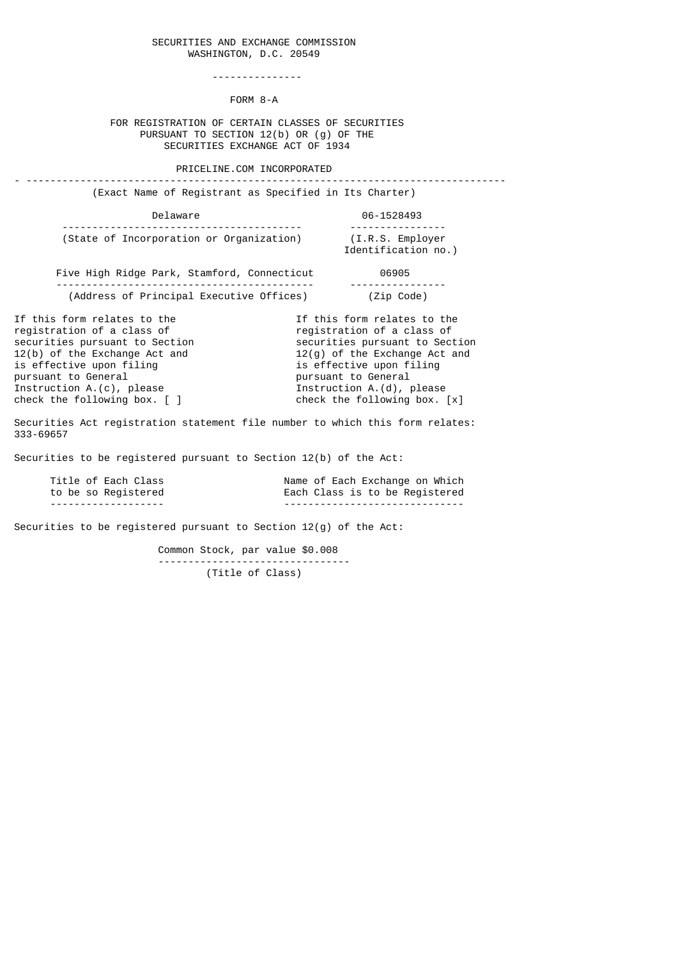## SECURITIES AND EXCHANGE COMMISSION WASHINGTON, D.C. 20549

---------------

FORM 8-A

## FOR REGISTRATION OF CERTAIN CLASSES OF SECURITIES PURSUANT TO SECTION 12(b) OR (g) OF THE SECURITIES EXCHANGE ACT OF 1934

PRICELINE.COM INCORPORATED

| (Exact Name of Registrant as Specified in Its Charter)                                                                                                                                                                                                         |                                                                                                                                                                                                                                                  |
|----------------------------------------------------------------------------------------------------------------------------------------------------------------------------------------------------------------------------------------------------------------|--------------------------------------------------------------------------------------------------------------------------------------------------------------------------------------------------------------------------------------------------|
| Delaware                                                                                                                                                                                                                                                       | 06-1528493                                                                                                                                                                                                                                       |
| (State of Incorporation or Organization) (I.R.S. Employer                                                                                                                                                                                                      | Identification no.)                                                                                                                                                                                                                              |
| Five High Ridge Park, Stamford, Connecticut 06905                                                                                                                                                                                                              |                                                                                                                                                                                                                                                  |
| (Address of Principal Executive Offices)                                                                                                                                                                                                                       | (Zip Code)                                                                                                                                                                                                                                       |
| If this form relates to the<br>registration of a class of<br>securities pursuant to Section<br>12(b) of the Exchange Act and<br>is effective upon filing<br>pursuant to General<br>Instruction $A.(c)$ , please<br>check the following box. $\lceil \; \rceil$ | If this form relates to the<br>registration of a class of<br>securities pursuant to Section<br>$12(q)$ of the Exchange Act and<br>is effective upon filing<br>pursuant to General<br>Instruction A.(d), please<br>check the following box. $[x]$ |
| Securities Act registration statement file number to which this form relates:<br>333-69657                                                                                                                                                                     |                                                                                                                                                                                                                                                  |
| Securities to be registered pursuant to Section 12(b) of the Act:                                                                                                                                                                                              |                                                                                                                                                                                                                                                  |

| Title of Each Class  | Name of Each Exchange on Which  |
|----------------------|---------------------------------|
| to be so Registered  | Each Class is to be Registered  |
| -------------------- | ------------------------------- |

Securities to be registered pursuant to Section 12(g) of the Act:

 Common Stock, par value \$0.008 -------------------------------- (Title of Class)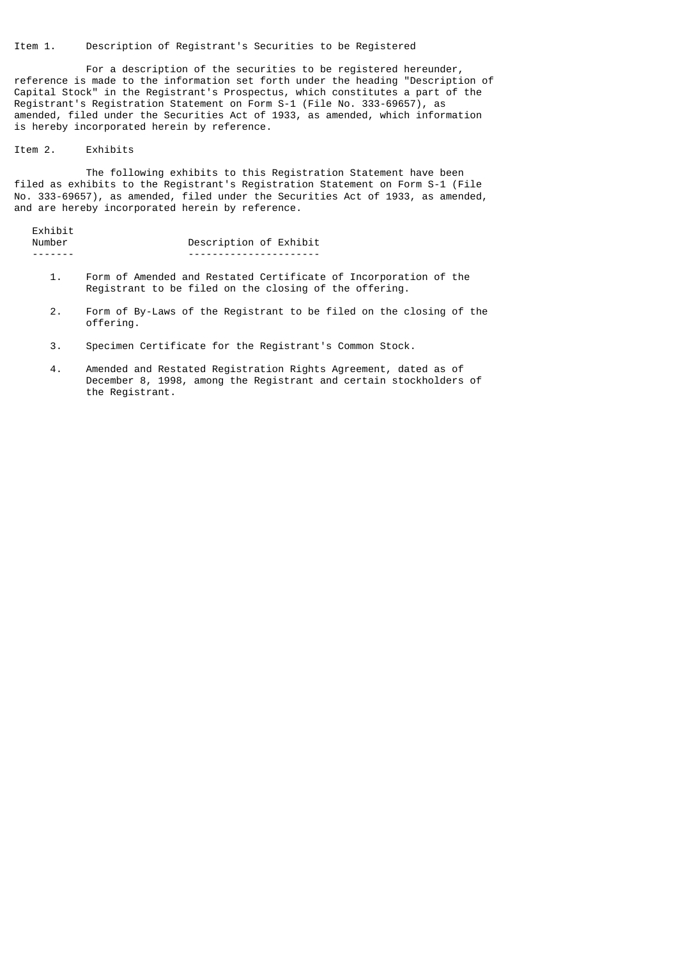Item 1. Description of Registrant's Securities to be Registered

 For a description of the securities to be registered hereunder, reference is made to the information set forth under the heading "Description of Capital Stock" in the Registrant's Prospectus, which constitutes a part of the Registrant's Registration Statement on Form S-1 (File No. 333-69657), as amended, filed under the Securities Act of 1933, as amended, which information is hereby incorporated herein by reference.

## Item 2. Exhibits

 The following exhibits to this Registration Statement have been filed as exhibits to the Registrant's Registration Statement on Form S-1 (File No. 333-69657), as amended, filed under the Securities Act of 1933, as amended, and are hereby incorporated herein by reference.

| Exhibit |                        |
|---------|------------------------|
| Number  | Description of Exhibit |
|         |                        |

- 1. Form of Amended and Restated Certificate of Incorporation of the Registrant to be filed on the closing of the offering.
- 2. Form of By-Laws of the Registrant to be filed on the closing of the offering.
- 3. Specimen Certificate for the Registrant's Common Stock.
- 4. Amended and Restated Registration Rights Agreement, dated as of December 8, 1998, among the Registrant and certain stockholders of the Registrant.